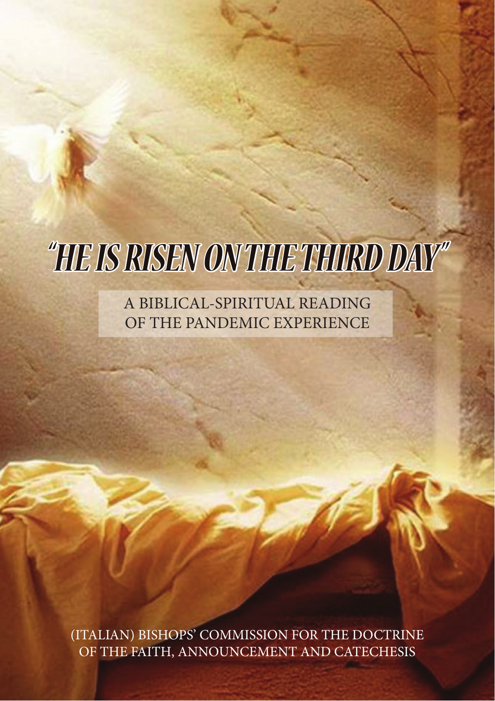# *"HE IS RISEN ON THE THIRD DAY"*

A BIBLICAL-SPIRITUAL READING OF THE PANDEMIC EXPERIENCE

(ITALIAN) BISHOPS' COMMISSION FOR THE DOCTRINE OF THE FAITH, ANNOUNCEMENT AND CATECHESIS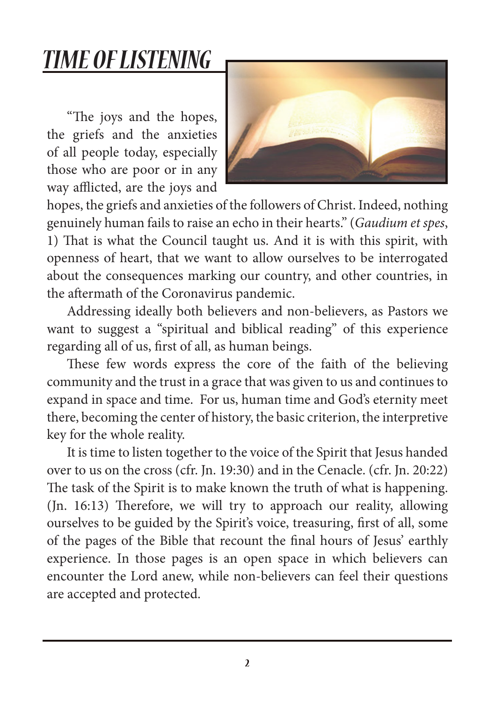## *TIME OF LISTENING*

"The joys and the hopes, the griefs and the anxieties of all people today, especially those who are poor or in any way afflicted, are the joys and



hopes, the griefs and anxieties of the followers of Christ. Indeed, nothing genuinely human fails to raise an echo in their hearts." (*Gaudium et spes*, 1) That is what the Council taught us. And it is with this spirit, with openness of heart, that we want to allow ourselves to be interrogated about the consequences marking our country, and other countries, in the aftermath of the Coronavirus pandemic.

Addressing ideally both believers and non-believers, as Pastors we want to suggest a "spiritual and biblical reading" of this experience regarding all of us, first of all, as human beings.

These few words express the core of the faith of the believing community and the trust in a grace that was given to us and continues to expand in space and time. For us, human time and God's eternity meet there, becoming the center of history, the basic criterion, the interpretive key for the whole reality.

It is time to listen together to the voice of the Spirit that Jesus handed over to us on the cross (cfr. Jn. 19:30) and in the Cenacle. (cfr. Jn. 20:22) The task of the Spirit is to make known the truth of what is happening. (Jn. 16:13) Therefore, we will try to approach our reality, allowing ourselves to be guided by the Spirit's voice, treasuring, first of all, some of the pages of the Bible that recount the final hours of Jesus' earthly experience. In those pages is an open space in which believers can encounter the Lord anew, while non-believers can feel their questions are accepted and protected.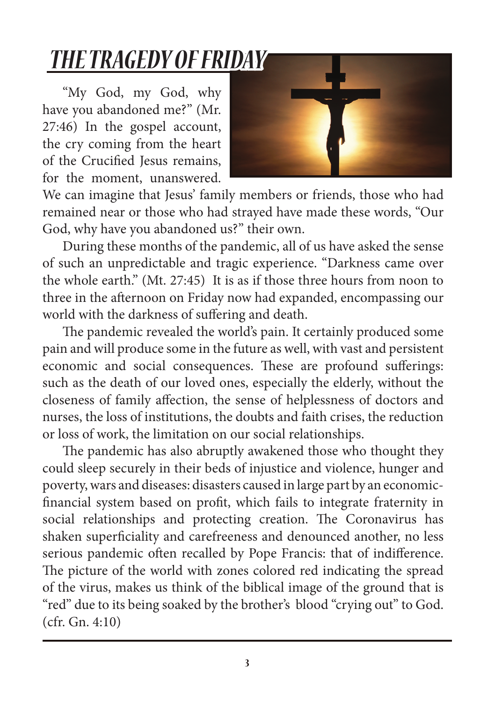### *THE TRAGEDY OF FRIDAY*

"My God, my God, why have you abandoned me?" (Mr. 27:46) In the gospel account, the cry coming from the heart of the Crucified Jesus remains, for the moment, unanswered.



We can imagine that Jesus' family members or friends, those who had remained near or those who had strayed have made these words, "Our God, why have you abandoned us?" their own.

During these months of the pandemic, all of us have asked the sense of such an unpredictable and tragic experience. "Darkness came over the whole earth." (Mt. 27:45) It is as if those three hours from noon to three in the afternoon on Friday now had expanded, encompassing our world with the darkness of suffering and death.

The pandemic revealed the world's pain. It certainly produced some pain and will produce some in the future as well, with vast and persistent economic and social consequences. These are profound sufferings: such as the death of our loved ones, especially the elderly, without the closeness of family affection, the sense of helplessness of doctors and nurses, the loss of institutions, the doubts and faith crises, the reduction or loss of work, the limitation on our social relationships.

The pandemic has also abruptly awakened those who thought they could sleep securely in their beds of injustice and violence, hunger and poverty, wars and diseases: disasters caused in large part by an economicfinancial system based on profit, which fails to integrate fraternity in social relationships and protecting creation. The Coronavirus has shaken superficiality and carefreeness and denounced another, no less serious pandemic often recalled by Pope Francis: that of indifference. The picture of the world with zones colored red indicating the spread of the virus, makes us think of the biblical image of the ground that is "red" due to its being soaked by the brother's blood "crying out" to God. (cfr. Gn. 4:10)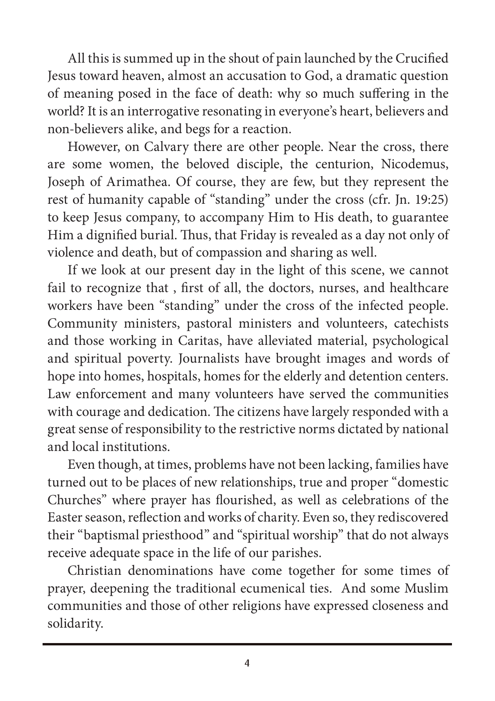All this is summed up in the shout of pain launched by the Crucified Jesus toward heaven, almost an accusation to God, a dramatic question of meaning posed in the face of death: why so much suffering in the world? It is an interrogative resonating in everyone's heart, believers and non-believers alike, and begs for a reaction.

However, on Calvary there are other people. Near the cross, there are some women, the beloved disciple, the centurion, Nicodemus, Joseph of Arimathea. Of course, they are few, but they represent the rest of humanity capable of "standing" under the cross (cfr. Jn. 19:25) to keep Jesus company, to accompany Him to His death, to guarantee Him a dignified burial. Thus, that Friday is revealed as a day not only of violence and death, but of compassion and sharing as well.

If we look at our present day in the light of this scene, we cannot fail to recognize that , first of all, the doctors, nurses, and healthcare workers have been "standing" under the cross of the infected people. Community ministers, pastoral ministers and volunteers, catechists and those working in Caritas, have alleviated material, psychological and spiritual poverty. Journalists have brought images and words of hope into homes, hospitals, homes for the elderly and detention centers. Law enforcement and many volunteers have served the communities with courage and dedication. The citizens have largely responded with a great sense of responsibility to the restrictive norms dictated by national and local institutions.

Even though, at times, problems have not been lacking, families have turned out to be places of new relationships, true and proper "domestic Churches" where prayer has flourished, as well as celebrations of the Easter season, reflection and works of charity. Even so, they rediscovered their "baptismal priesthood" and "spiritual worship" that do not always receive adequate space in the life of our parishes.

Christian denominations have come together for some times of prayer, deepening the traditional ecumenical ties. And some Muslim communities and those of other religions have expressed closeness and solidarity.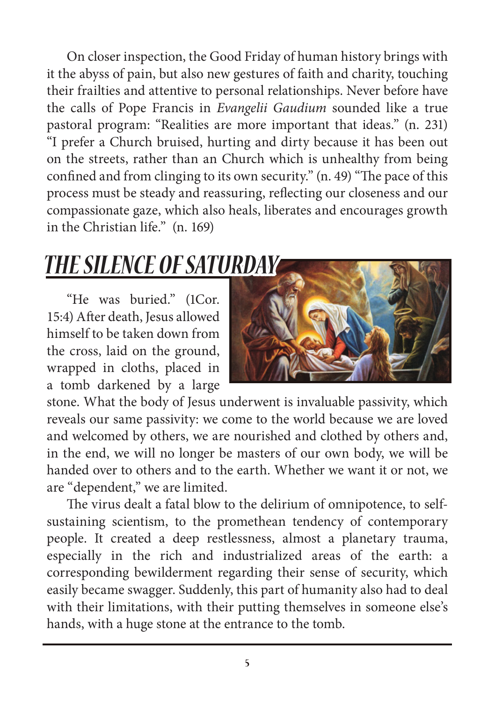On closer inspection, the Good Friday of human history brings with it the abyss of pain, but also new gestures of faith and charity, touching their frailties and attentive to personal relationships. Never before have the calls of Pope Francis in *Evangelii Gaudium* sounded like a true pastoral program: "Realities are more important that ideas." (n. 231) "I prefer a Church bruised, hurting and dirty because it has been out on the streets, rather than an Church which is unhealthy from being confined and from clinging to its own security." (n. 49) "The pace of this process must be steady and reassuring, reflecting our closeness and our compassionate gaze, which also heals, liberates and encourages growth in the Christian life." (n. 169)

#### *THE SILENCE OF SATURDAY*

"He was buried." (1Cor. 15:4) After death, Jesus allowed himself to be taken down from the cross, laid on the ground, wrapped in cloths, placed in a tomb darkened by a large



stone. What the body of Jesus underwent is invaluable passivity, which reveals our same passivity: we come to the world because we are loved and welcomed by others, we are nourished and clothed by others and, in the end, we will no longer be masters of our own body, we will be handed over to others and to the earth. Whether we want it or not, we are "dependent," we are limited.

The virus dealt a fatal blow to the delirium of omnipotence, to selfsustaining scientism, to the promethean tendency of contemporary people. It created a deep restlessness, almost a planetary trauma, especially in the rich and industrialized areas of the earth: a corresponding bewilderment regarding their sense of security, which easily became swagger. Suddenly, this part of humanity also had to deal with their limitations, with their putting themselves in someone else's hands, with a huge stone at the entrance to the tomb.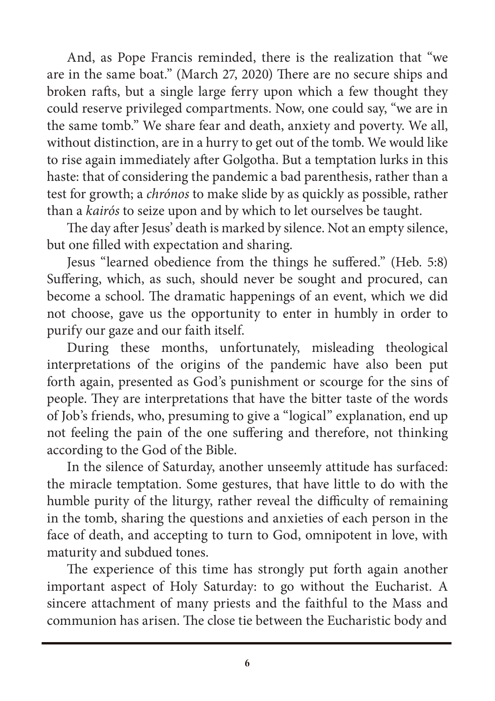And, as Pope Francis reminded, there is the realization that "we are in the same boat." (March 27, 2020) There are no secure ships and broken rafts, but a single large ferry upon which a few thought they could reserve privileged compartments. Now, one could say, "we are in the same tomb." We share fear and death, anxiety and poverty. We all, without distinction, are in a hurry to get out of the tomb. We would like to rise again immediately after Golgotha. But a temptation lurks in this haste: that of considering the pandemic a bad parenthesis, rather than a test for growth; a *chrónos* to make slide by as quickly as possible, rather than a *kairós* to seize upon and by which to let ourselves be taught.

The day after Jesus' death is marked by silence. Not an empty silence, but one filled with expectation and sharing.

Jesus "learned obedience from the things he suffered." (Heb. 5:8) Suffering, which, as such, should never be sought and procured, can become a school. The dramatic happenings of an event, which we did not choose, gave us the opportunity to enter in humbly in order to purify our gaze and our faith itself.

During these months, unfortunately, misleading theological interpretations of the origins of the pandemic have also been put forth again, presented as God's punishment or scourge for the sins of people. They are interpretations that have the bitter taste of the words of Job's friends, who, presuming to give a "logical" explanation, end up not feeling the pain of the one suffering and therefore, not thinking according to the God of the Bible.

In the silence of Saturday, another unseemly attitude has surfaced: the miracle temptation. Some gestures, that have little to do with the humble purity of the liturgy, rather reveal the difficulty of remaining in the tomb, sharing the questions and anxieties of each person in the face of death, and accepting to turn to God, omnipotent in love, with maturity and subdued tones.

The experience of this time has strongly put forth again another important aspect of Holy Saturday: to go without the Eucharist. A sincere attachment of many priests and the faithful to the Mass and communion has arisen. The close tie between the Eucharistic body and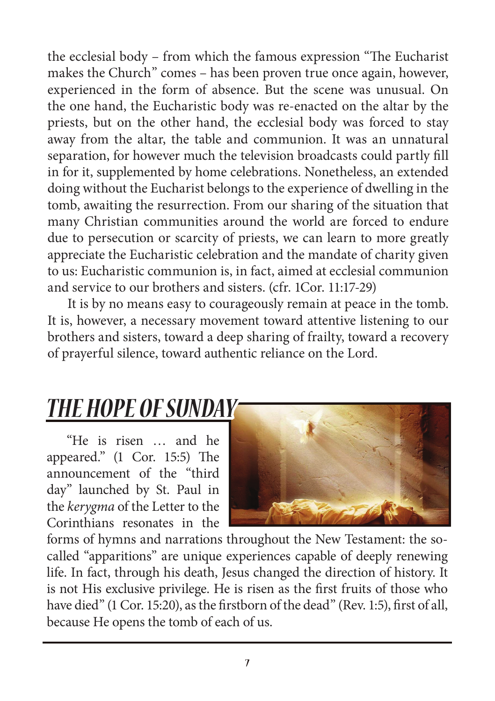the ecclesial body – from which the famous expression "The Eucharist makes the Church" comes – has been proven true once again, however, experienced in the form of absence. But the scene was unusual. On the one hand, the Eucharistic body was re-enacted on the altar by the priests, but on the other hand, the ecclesial body was forced to stay away from the altar, the table and communion. It was an unnatural separation, for however much the television broadcasts could partly fill in for it, supplemented by home celebrations. Nonetheless, an extended doing without the Eucharist belongs to the experience of dwelling in the tomb, awaiting the resurrection. From our sharing of the situation that many Christian communities around the world are forced to endure due to persecution or scarcity of priests, we can learn to more greatly appreciate the Eucharistic celebration and the mandate of charity given to us: Eucharistic communion is, in fact, aimed at ecclesial communion and service to our brothers and sisters. (cfr. 1Cor. 11:17-29)

It is by no means easy to courageously remain at peace in the tomb. It is, however, a necessary movement toward attentive listening to our brothers and sisters, toward a deep sharing of frailty, toward a recovery of prayerful silence, toward authentic reliance on the Lord.

#### *THE HOPE OF SUNDAY*

"He is risen … and he appeared." (1 Cor. 15:5) The announcement of the "third day" launched by St. Paul in the *kerygma* of the Letter to the Corinthians resonates in the



forms of hymns and narrations throughout the New Testament: the socalled "apparitions" are unique experiences capable of deeply renewing life. In fact, through his death, Jesus changed the direction of history. It is not His exclusive privilege. He is risen as the first fruits of those who have died" (1 Cor. 15:20), as the firstborn of the dead" (Rev. 1:5), first of all, because He opens the tomb of each of us.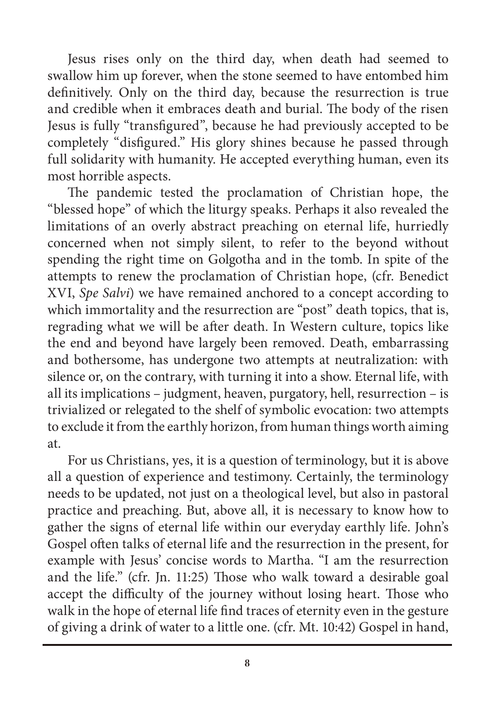Jesus rises only on the third day, when death had seemed to swallow him up forever, when the stone seemed to have entombed him definitively. Only on the third day, because the resurrection is true and credible when it embraces death and burial. The body of the risen Jesus is fully "transfigured", because he had previously accepted to be completely "disfigured." His glory shines because he passed through full solidarity with humanity. He accepted everything human, even its most horrible aspects.

The pandemic tested the proclamation of Christian hope, the "blessed hope" of which the liturgy speaks. Perhaps it also revealed the limitations of an overly abstract preaching on eternal life, hurriedly concerned when not simply silent, to refer to the beyond without spending the right time on Golgotha and in the tomb. In spite of the attempts to renew the proclamation of Christian hope, (cfr. Benedict XVI, *Spe Salvi*) we have remained anchored to a concept according to which immortality and the resurrection are "post" death topics, that is, regrading what we will be after death. In Western culture, topics like the end and beyond have largely been removed. Death, embarrassing and bothersome, has undergone two attempts at neutralization: with silence or, on the contrary, with turning it into a show. Eternal life, with all its implications – judgment, heaven, purgatory, hell, resurrection – is trivialized or relegated to the shelf of symbolic evocation: two attempts to exclude it from the earthly horizon, from human things worth aiming at.

For us Christians, yes, it is a question of terminology, but it is above all a question of experience and testimony. Certainly, the terminology needs to be updated, not just on a theological level, but also in pastoral practice and preaching. But, above all, it is necessary to know how to gather the signs of eternal life within our everyday earthly life. John's Gospel often talks of eternal life and the resurrection in the present, for example with Jesus' concise words to Martha. "I am the resurrection and the life." (cfr. Jn. 11:25) Those who walk toward a desirable goal accept the difficulty of the journey without losing heart. Those who walk in the hope of eternal life find traces of eternity even in the gesture of giving a drink of water to a little one. (cfr. Mt. 10:42) Gospel in hand,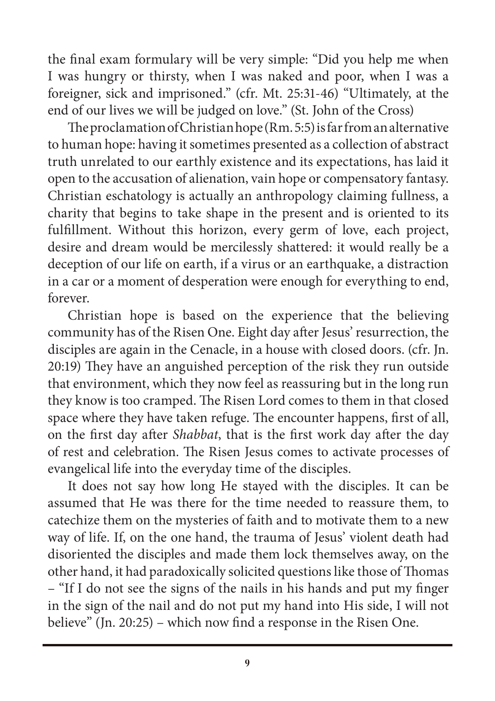the final exam formulary will be very simple: "Did you help me when I was hungry or thirsty, when I was naked and poor, when I was a foreigner, sick and imprisoned." (cfr. Mt. 25:31-46) "Ultimately, at the end of our lives we will be judged on love." (St. John of the Cross)

The proclamation of Christian hope (Rm. 5:5) is far from an alternative to human hope: having it sometimes presented as a collection of abstract truth unrelated to our earthly existence and its expectations, has laid it open to the accusation of alienation, vain hope or compensatory fantasy. Christian eschatology is actually an anthropology claiming fullness, a charity that begins to take shape in the present and is oriented to its fulfillment. Without this horizon, every germ of love, each project, desire and dream would be mercilessly shattered: it would really be a deception of our life on earth, if a virus or an earthquake, a distraction in a car or a moment of desperation were enough for everything to end, forever.

Christian hope is based on the experience that the believing community has of the Risen One. Eight day after Jesus' resurrection, the disciples are again in the Cenacle, in a house with closed doors. (cfr. Jn. 20:19) They have an anguished perception of the risk they run outside that environment, which they now feel as reassuring but in the long run they know is too cramped. The Risen Lord comes to them in that closed space where they have taken refuge. The encounter happens, first of all, on the first day after *Shabbat*, that is the first work day after the day of rest and celebration. The Risen Jesus comes to activate processes of evangelical life into the everyday time of the disciples.

It does not say how long He stayed with the disciples. It can be assumed that He was there for the time needed to reassure them, to catechize them on the mysteries of faith and to motivate them to a new way of life. If, on the one hand, the trauma of Jesus' violent death had disoriented the disciples and made them lock themselves away, on the other hand, it had paradoxically solicited questions like those of Thomas – "If I do not see the signs of the nails in his hands and put my finger in the sign of the nail and do not put my hand into His side, I will not believe" (Jn. 20:25) – which now find a response in the Risen One.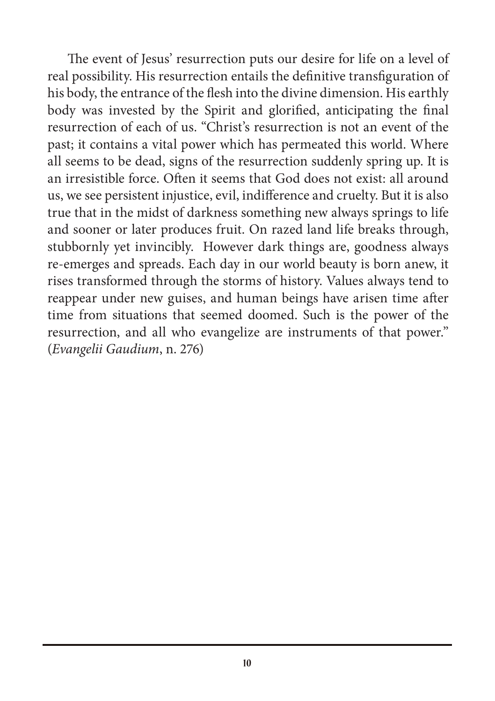The event of Jesus' resurrection puts our desire for life on a level of real possibility. His resurrection entails the definitive transfiguration of his body, the entrance of the flesh into the divine dimension. His earthly body was invested by the Spirit and glorified, anticipating the final resurrection of each of us. "Christ's resurrection is not an event of the past; it contains a vital power which has permeated this world. Where all seems to be dead, signs of the resurrection suddenly spring up. It is an irresistible force. Often it seems that God does not exist: all around us, we see persistent injustice, evil, indifference and cruelty. But it is also true that in the midst of darkness something new always springs to life and sooner or later produces fruit. On razed land life breaks through, stubbornly yet invincibly. However dark things are, goodness always re-emerges and spreads. Each day in our world beauty is born anew, it rises transformed through the storms of history. Values always tend to reappear under new guises, and human beings have arisen time after time from situations that seemed doomed. Such is the power of the resurrection, and all who evangelize are instruments of that power." (*Evangelii Gaudium*, n. 276)